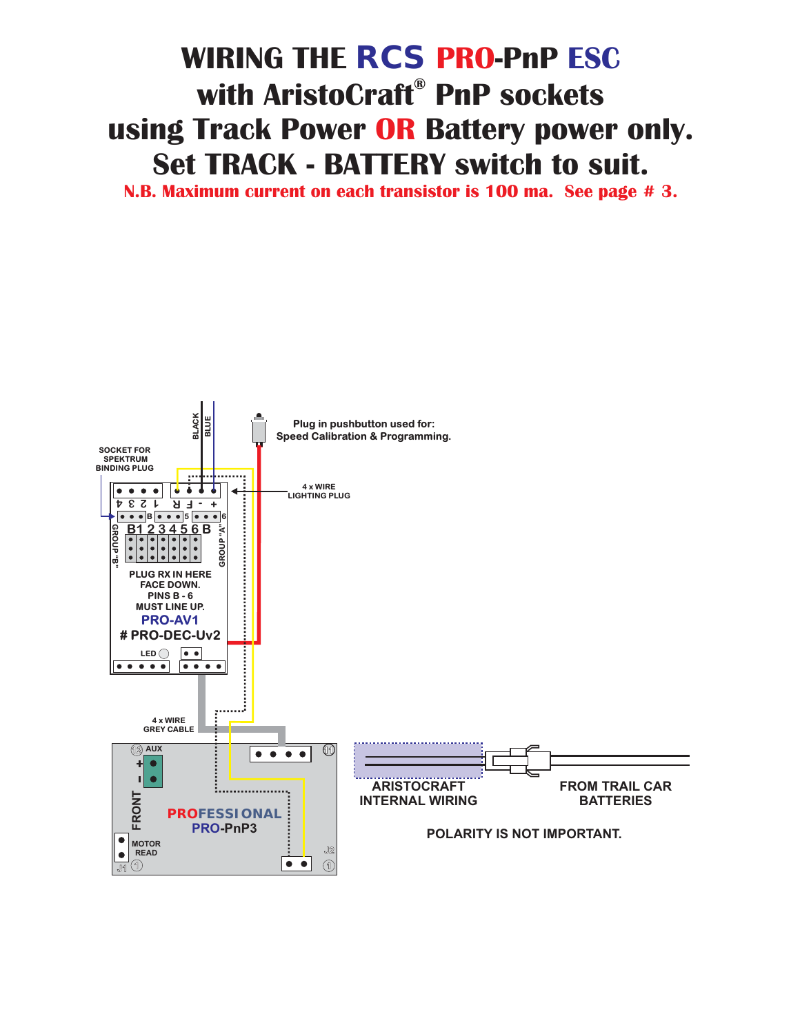## **with AristoCraft**® PnP sockets **using Track Power OR Battery power only. Set TRACK - RATTERY switch to suit. WIRING THE RCS PRO-PnP ESC**

**N.B. Maximum current on each transistor is 100 ma. See page #3. N.B. Maximum current on each transistor is 100 ma. See page # 3.**

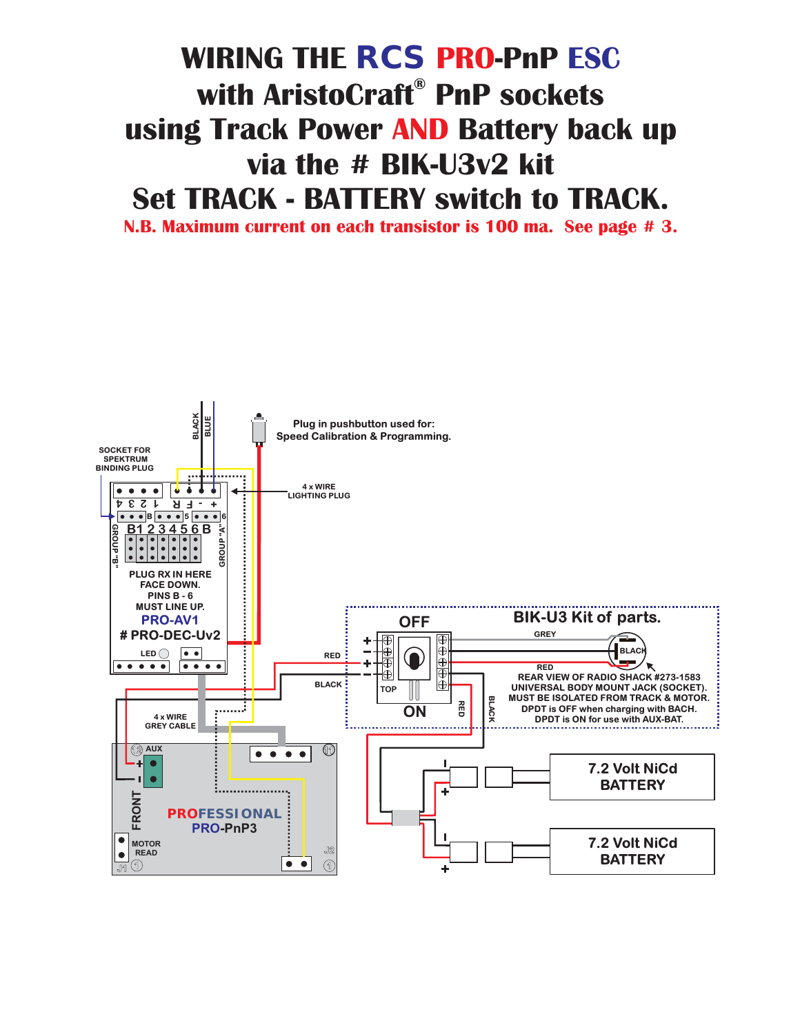## **WIRING THE**  $\mathsf{RCS}$  **<b>PRO-PnP ESC**<br>with AristoCraft® PnP sockets **using Track Power AND Battery back up using Track Power Battery back up Set TRACK - BATTERY switch to TRACK.**

**N.B. Maximum current on each transistor is 100 ma. See page #3. N.B. Maximum current on each transistor is 100 ma. See page # 3.**